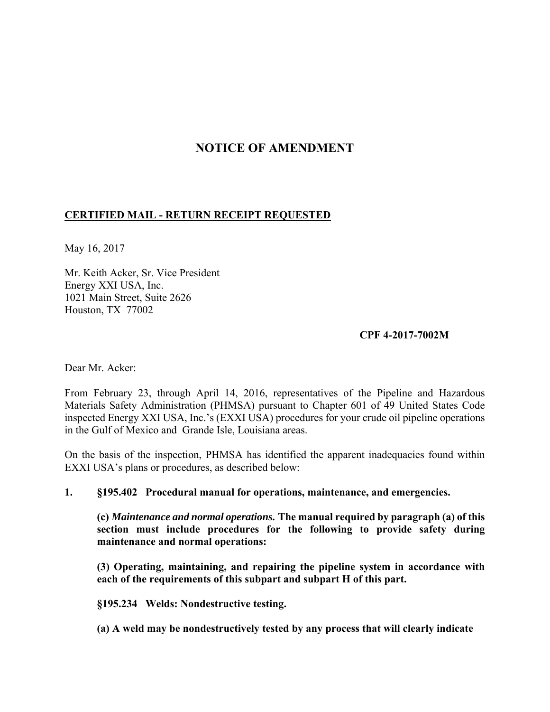# **NOTICE OF AMENDMENT**

# **CERTIFIED MAIL - RETURN RECEIPT REQUESTED**

May 16, 2017

Mr. Keith Acker, Sr. Vice President Energy XXI USA, Inc. 1021 Main Street, Suite 2626 Houston, TX 77002

### **CPF 4-2017-7002M**

Dear Mr. Acker:

From February 23, through April 14, 2016, representatives of the Pipeline and Hazardous Materials Safety Administration (PHMSA) pursuant to Chapter 601 of 49 United States Code inspected Energy XXI USA, Inc.'s (EXXI USA) procedures for your crude oil pipeline operations in the Gulf of Mexico and Grande Isle, Louisiana areas.

On the basis of the inspection, PHMSA has identified the apparent inadequacies found within EXXI USA's plans or procedures, as described below:

## **1. §195.402 Procedural manual for operations, maintenance, and emergencies.**

**(c)** *Maintenance and normal operations.* **The manual required by paragraph (a) of this section must include procedures for the following to provide safety during maintenance and normal operations:** 

**(3) Operating, maintaining, and repairing the pipeline system in accordance with each of the requirements of this subpart and subpart H of this part.** 

**§195.234 Welds: Nondestructive testing.** 

**(a) A weld may be nondestructively tested by any process that will clearly indicate**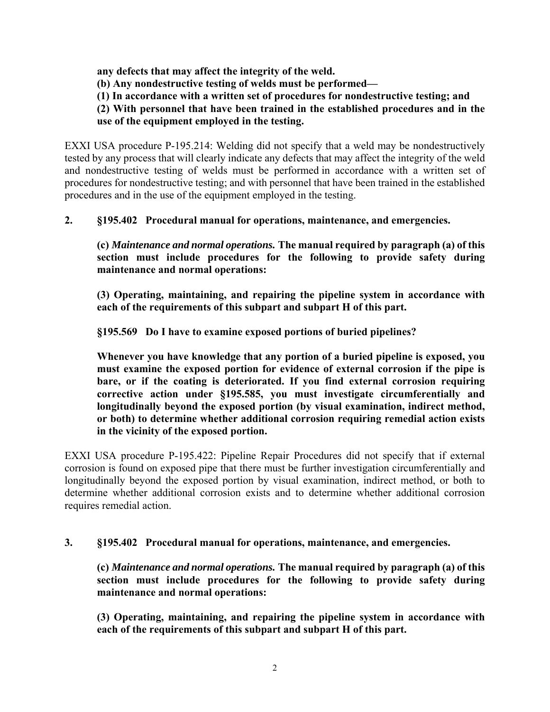**any defects that may affect the integrity of the weld.** 

**(b) Any nondestructive testing of welds must be performed—** 

**(1) In accordance with a written set of procedures for nondestructive testing; and** 

**(2) With personnel that have been trained in the established procedures and in the use of the equipment employed in the testing.** 

EXXI USA procedure P-195.214: Welding did not specify that a weld may be nondestructively tested by any process that will clearly indicate any defects that may affect the integrity of the weld and nondestructive testing of welds must be performed in accordance with a written set of procedures for nondestructive testing; and with personnel that have been trained in the established procedures and in the use of the equipment employed in the testing.

**2. §195.402 Procedural manual for operations, maintenance, and emergencies.** 

**(c)** *Maintenance and normal operations.* **The manual required by paragraph (a) of this section must include procedures for the following to provide safety during maintenance and normal operations:** 

**(3) Operating, maintaining, and repairing the pipeline system in accordance with each of the requirements of this subpart and subpart H of this part.** 

**§195.569 Do I have to examine exposed portions of buried pipelines?** 

**Whenever you have knowledge that any portion of a buried pipeline is exposed, you must examine the exposed portion for evidence of external corrosion if the pipe is bare, or if the coating is deteriorated. If you find external corrosion requiring corrective action under §195.585, you must investigate circumferentially and longitudinally beyond the exposed portion (by visual examination, indirect method, or both) to determine whether additional corrosion requiring remedial action exists in the vicinity of the exposed portion.** 

EXXI USA procedure P-195.422: Pipeline Repair Procedures did not specify that if external corrosion is found on exposed pipe that there must be further investigation circumferentially and longitudinally beyond the exposed portion by visual examination, indirect method, or both to determine whether additional corrosion exists and to determine whether additional corrosion requires remedial action.

**3. §195.402 Procedural manual for operations, maintenance, and emergencies.** 

**(c)** *Maintenance and normal operations.* **The manual required by paragraph (a) of this section must include procedures for the following to provide safety during maintenance and normal operations:** 

**(3) Operating, maintaining, and repairing the pipeline system in accordance with each of the requirements of this subpart and subpart H of this part.**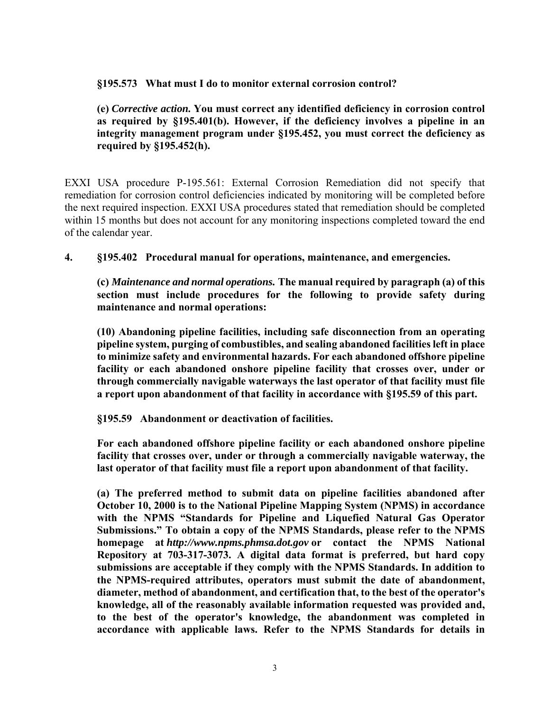### **§195.573 What must I do to monitor external corrosion control?**

**(e)** *Corrective action.* **You must correct any identified deficiency in corrosion control as required by §195.401(b). However, if the deficiency involves a pipeline in an integrity management program under §195.452, you must correct the deficiency as required by §195.452(h).** 

EXXI USA procedure P-195.561: External Corrosion Remediation did not specify that remediation for corrosion control deficiencies indicated by monitoring will be completed before the next required inspection. EXXI USA procedures stated that remediation should be completed within 15 months but does not account for any monitoring inspections completed toward the end of the calendar year.

**4. §195.402 Procedural manual for operations, maintenance, and emergencies.** 

**(c)** *Maintenance and normal operations.* **The manual required by paragraph (a) of this section must include procedures for the following to provide safety during maintenance and normal operations:** 

**(10) Abandoning pipeline facilities, including safe disconnection from an operating pipeline system, purging of combustibles, and sealing abandoned facilities left in place to minimize safety and environmental hazards. For each abandoned offshore pipeline facility or each abandoned onshore pipeline facility that crosses over, under or through commercially navigable waterways the last operator of that facility must file a report upon abandonment of that facility in accordance with §195.59 of this part.** 

**§195.59 Abandonment or deactivation of facilities.** 

**For each abandoned offshore pipeline facility or each abandoned onshore pipeline facility that crosses over, under or through a commercially navigable waterway, the last operator of that facility must file a report upon abandonment of that facility.** 

**(a) The preferred method to submit data on pipeline facilities abandoned after October 10, 2000 is to the National Pipeline Mapping System (NPMS) in accordance with the NPMS "Standards for Pipeline and Liquefied Natural Gas Operator Submissions." To obtain a copy of the NPMS Standards, please refer to the NPMS homepage at** *http://www.npms.phmsa.dot.gov* **or contact the NPMS National Repository at 703-317-3073. A digital data format is preferred, but hard copy submissions are acceptable if they comply with the NPMS Standards. In addition to the NPMS-required attributes, operators must submit the date of abandonment, diameter, method of abandonment, and certification that, to the best of the operator's knowledge, all of the reasonably available information requested was provided and, to the best of the operator's knowledge, the abandonment was completed in accordance with applicable laws. Refer to the NPMS Standards for details in**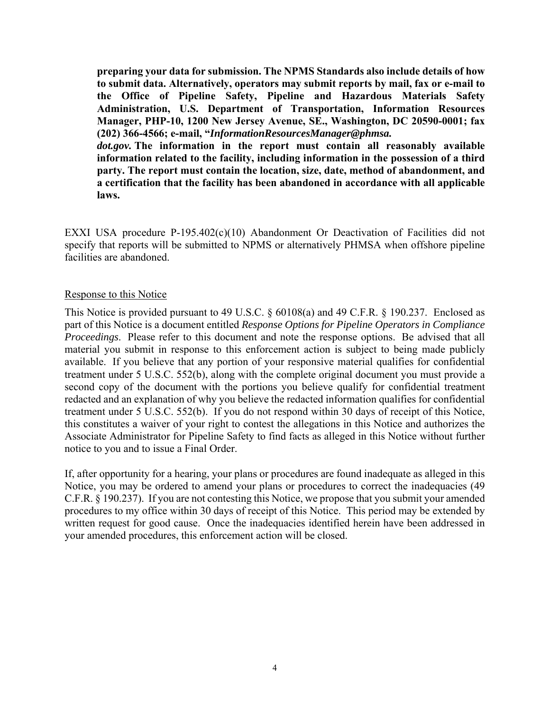**preparing your data for submission. The NPMS Standards also include details of how to submit data. Alternatively, operators may submit reports by mail, fax or e-mail to the Office of Pipeline Safety, Pipeline and Hazardous Materials Safety Administration, U.S. Department of Transportation, Information Resources Manager, PHP-10, 1200 New Jersey Avenue, SE., Washington, DC 20590-0001; fax (202) 366-4566; e-mail, "***InformationResourcesManager@phmsa.*

*dot.gov.* **The information in the report must contain all reasonably available information related to the facility, including information in the possession of a third party. The report must contain the location, size, date, method of abandonment, and a certification that the facility has been abandoned in accordance with all applicable laws.** 

EXXI USA procedure P-195.402(c)(10) Abandonment Or Deactivation of Facilities did not specify that reports will be submitted to NPMS or alternatively PHMSA when offshore pipeline facilities are abandoned.

#### Response to this Notice

This Notice is provided pursuant to 49 U.S.C. § 60108(a) and 49 C.F.R. § 190.237. Enclosed as part of this Notice is a document entitled *Response Options for Pipeline Operators in Compliance Proceedings*. Please refer to this document and note the response options. Be advised that all material you submit in response to this enforcement action is subject to being made publicly available. If you believe that any portion of your responsive material qualifies for confidential treatment under 5 U.S.C. 552(b), along with the complete original document you must provide a second copy of the document with the portions you believe qualify for confidential treatment redacted and an explanation of why you believe the redacted information qualifies for confidential treatment under 5 U.S.C. 552(b). If you do not respond within 30 days of receipt of this Notice, this constitutes a waiver of your right to contest the allegations in this Notice and authorizes the Associate Administrator for Pipeline Safety to find facts as alleged in this Notice without further notice to you and to issue a Final Order.

If, after opportunity for a hearing, your plans or procedures are found inadequate as alleged in this Notice, you may be ordered to amend your plans or procedures to correct the inadequacies (49 C.F.R. § 190.237). If you are not contesting this Notice, we propose that you submit your amended procedures to my office within 30 days of receipt of this Notice. This period may be extended by written request for good cause. Once the inadequacies identified herein have been addressed in your amended procedures, this enforcement action will be closed.